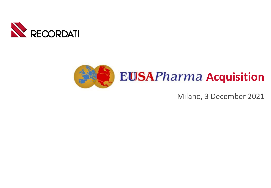



Milano, 3 December 2021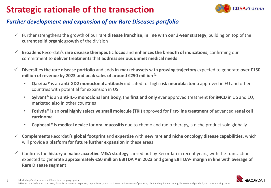# **Strategic rationale of the transaction**



#### *Further development and expansion of our Rare Diseases portfolio*

- ✓ Further strengthens the growth of our **rare disease franchise**, **in line with our 3-year strategy**, building on top of the **current solid organic growth** of the division
- ✓ **Broadens** Recordati's **rare disease therapeutic focus** and **enhances the breadth of indications**, confirming our commitment to **deliver treatments** that **address serious unmet medical needs**
- ✓ **Diversifies the rare disease portfolio** and adds **in-market assets** with **growing trajectory** expected to generate **over €150 million of revenue by 2023 and peak sales of around €250 million** (1)
	- **Qarziba®** is an **anti-GD2 monoclonal antibody** indicated for high-risk **neuroblastoma** approved in EU and other countries with potential for expansion in US
	- **Sylvant®** is an **anti-IL-6 monoclonal antibody,** the **first and only** ever approved treatment for **iMCD** in US and EU, marketed also in other countries
	- **Fotivda®** is an **oral highly selective small molecule (TKI)** approved for **first-line treatment** of advanced **renal cell carcinoma**
	- **Caphosol®** is **medical device** for **oral mucositis** due to chemo and radio therapy, a niche product sold globally
- ✓ **Complements** Recordati's **global footprint** and **expertise** with **new rare and niche oncology disease capabilities**, which will provide a **platform for future further expansion** in these areas
- ✓ Confirms the **history of value-accretive M&A strategy** carried out by Recordati in recent years, with the transaction expected to generate **approximately €50 million EBITDA**(2) **in 2023** and **going EBITDA**(2) **margin in line with average of Rare Disease segment**

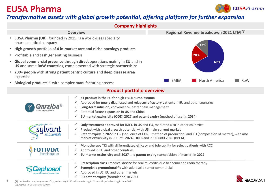### **EUSA Pharma**

**3**



### *Transformative assets with global growth potential, offering platform for further expansion*



✓ **EU patent expiry** (formulation) in **2033**

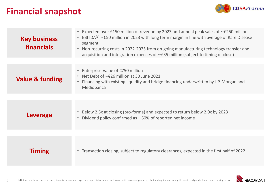## **Financial snapshot**



| <b>Key business</b><br>financials | Expected over £150 million of revenue by 2023 and annual peak sales of $\sim$ £250 million<br>$\bullet$<br>EBITDA <sup>(1)</sup> $\sim$ £50 million in 2023 with long term margin in line with average of Rare Disease<br>segment<br>• Non-recurring costs in 2022-2023 from on-going manufacturing technology transfer and<br>acquisition and integration expenses of $\sim$ £35 million (subject to timing of close) |
|-----------------------------------|------------------------------------------------------------------------------------------------------------------------------------------------------------------------------------------------------------------------------------------------------------------------------------------------------------------------------------------------------------------------------------------------------------------------|
|                                   |                                                                                                                                                                                                                                                                                                                                                                                                                        |
| <b>Value &amp; funding</b>        | • Enterprise Value of €750 million<br>Net Debt of $\sim \epsilon$ 26 million at 30 June 2021<br>Financing with existing liquidity and bridge financing underwritten by J.P. Morgan and<br>Mediobanca                                                                                                                                                                                                                   |
|                                   |                                                                                                                                                                                                                                                                                                                                                                                                                        |
| <b>Leverage</b>                   | Below 2.5x at closing (pro-forma) and expected to return below 2.0x by 2023<br>Dividend policy confirmed as $~60\%$ of reported net income<br>$\bullet$                                                                                                                                                                                                                                                                |
|                                   |                                                                                                                                                                                                                                                                                                                                                                                                                        |
| <b>Timing</b>                     | • Transaction closing, subject to regulatory clearances, expected in the first half of 2022                                                                                                                                                                                                                                                                                                                            |